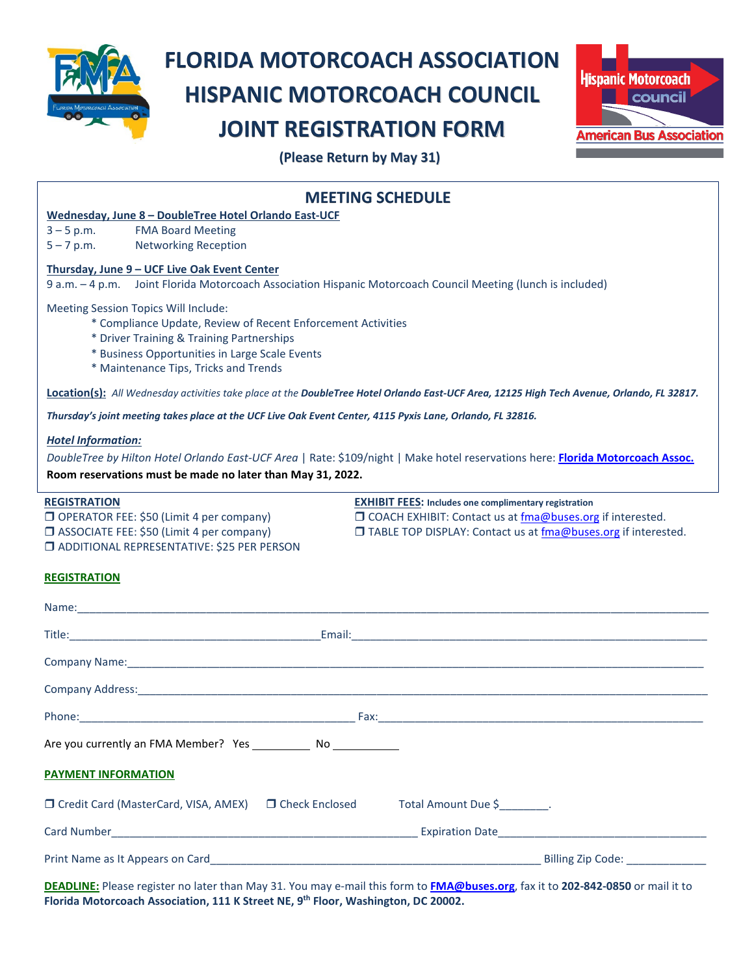

## **FLORIDA MOTORCOACH ASSOCIATION HISPANIC MOTORCOACH COUNCIL JOINT REGISTRATION FORM**



 **(Please Return by May 31)**

| <b>MEETING SCHEDULE</b>                                                                                                                                                                                                                      |                                                                                                                                                                                                |
|----------------------------------------------------------------------------------------------------------------------------------------------------------------------------------------------------------------------------------------------|------------------------------------------------------------------------------------------------------------------------------------------------------------------------------------------------|
| Wednesday, June 8 - DoubleTree Hotel Orlando East-UCF                                                                                                                                                                                        |                                                                                                                                                                                                |
| $3 - 5 p.m.$<br><b>FMA Board Meeting</b><br>$5 - 7$ p.m.<br><b>Networking Reception</b>                                                                                                                                                      |                                                                                                                                                                                                |
|                                                                                                                                                                                                                                              |                                                                                                                                                                                                |
| Thursday, June 9 - UCF Live Oak Event Center<br>9 a.m. - 4 p.m. Joint Florida Motorcoach Association Hispanic Motorcoach Council Meeting (lunch is included)                                                                                 |                                                                                                                                                                                                |
| Meeting Session Topics Will Include:<br>* Compliance Update, Review of Recent Enforcement Activities<br>* Driver Training & Training Partnerships<br>* Business Opportunities in Large Scale Events<br>* Maintenance Tips, Tricks and Trends |                                                                                                                                                                                                |
| Location(s): All Wednesday activities take place at the DoubleTree Hotel Orlando East-UCF Area, 12125 High Tech Avenue, Orlando, FL 32817.                                                                                                   |                                                                                                                                                                                                |
| Thursday's joint meeting takes place at the UCF Live Oak Event Center, 4115 Pyxis Lane, Orlando, FL 32816.                                                                                                                                   |                                                                                                                                                                                                |
| <b>Hotel Information:</b><br>DoubleTree by Hilton Hotel Orlando East-UCF Area   Rate: \$109/night   Make hotel reservations here: Florida Motorcoach Assoc.<br>Room reservations must be made no later than May 31, 2022.                    |                                                                                                                                                                                                |
| <b>REGISTRATION</b><br>O OPERATOR FEE: \$50 (Limit 4 per company)<br>ASSOCIATE FEE: \$50 (Limit 4 per company)<br><b>JADDITIONAL REPRESENTATIVE: \$25 PER PERSON</b>                                                                         | <b>EXHIBIT FEES: Includes one complimentary registration</b><br>□ COACH EXHIBIT: Contact us at fma@buses.org if interested.<br>□ TABLE TOP DISPLAY: Contact us at fma@buses.org if interested. |
| <b>REGISTRATION</b>                                                                                                                                                                                                                          |                                                                                                                                                                                                |
|                                                                                                                                                                                                                                              |                                                                                                                                                                                                |
|                                                                                                                                                                                                                                              |                                                                                                                                                                                                |
|                                                                                                                                                                                                                                              |                                                                                                                                                                                                |
|                                                                                                                                                                                                                                              |                                                                                                                                                                                                |
|                                                                                                                                                                                                                                              |                                                                                                                                                                                                |
|                                                                                                                                                                                                                                              |                                                                                                                                                                                                |
|                                                                                                                                                                                                                                              |                                                                                                                                                                                                |
| <b>PAYMENT INFORMATION</b>                                                                                                                                                                                                                   |                                                                                                                                                                                                |
| □ Credit Card (MasterCard, VISA, AMEX) □ Check Enclosed Total Amount Due \$                                                                                                                                                                  |                                                                                                                                                                                                |
|                                                                                                                                                                                                                                              |                                                                                                                                                                                                |
|                                                                                                                                                                                                                                              |                                                                                                                                                                                                |

**DEADLINE:** Please register no later than May 31. You may e-mail this form to **[FMA@buses.org](mailto:FMA@buses.org)**, fax it to **202-842-0850** or mail it to **Florida Motorcoach Association, 111 K Street NE, 9th Floor, Washington, DC 20002.**